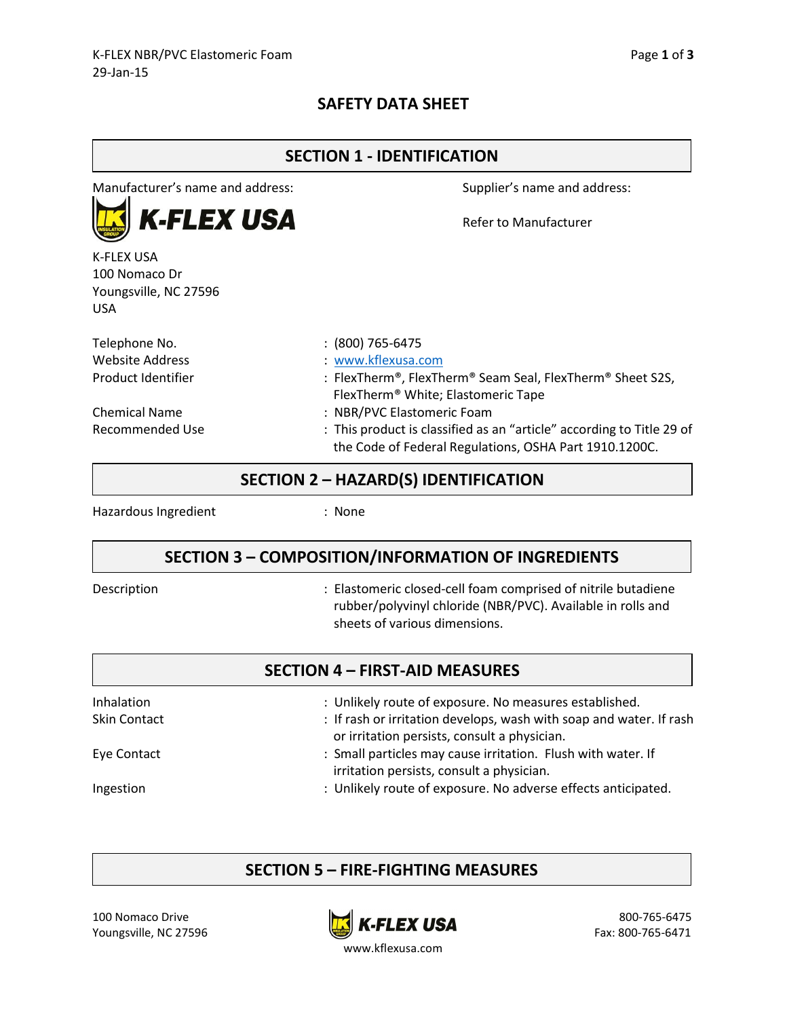### **SAFETY DATA SHEET**

| <b>SECTION 1 - IDENTIFICATION</b>                           |                                                                                                                                 |  |  |
|-------------------------------------------------------------|---------------------------------------------------------------------------------------------------------------------------------|--|--|
| Manufacturer's name and address:                            | Supplier's name and address:                                                                                                    |  |  |
| <b>K-FLEX USA</b>                                           | Refer to Manufacturer                                                                                                           |  |  |
| K-FLEX USA<br>100 Nomaco Dr<br>Youngsville, NC 27596<br>USA |                                                                                                                                 |  |  |
| Telephone No.                                               | $: (800)$ 765-6475                                                                                                              |  |  |
| Website Address                                             | : www.kflexusa.com                                                                                                              |  |  |
| Product Identifier                                          | : FlexTherm®, FlexTherm® Seam Seal, FlexTherm® Sheet S2S,<br>FlexTherm <sup>®</sup> White; Elastomeric Tape                     |  |  |
| Chemical Name                                               | : NBR/PVC Elastomeric Foam                                                                                                      |  |  |
| Recommended Use                                             | : This product is classified as an "article" according to Title 29 of<br>the Code of Federal Regulations, OSHA Part 1910.1200C. |  |  |

### **SECTION 2 – HAZARD(S) IDENTIFICATION**

Hazardous Ingredient : None

### **SECTION 3 – COMPOSITION/INFORMATION OF INGREDIENTS**

Description **Secription** : Elastomeric closed-cell foam comprised of nitrile butadiene rubber/polyvinyl chloride (NBR/PVC). Available in rolls and sheets of various dimensions.

|                     | <b>SECTION 4 - FIRST-AID MEASURES</b>                                                                               |
|---------------------|---------------------------------------------------------------------------------------------------------------------|
| Inhalation          | : Unlikely route of exposure. No measures established.                                                              |
| <b>Skin Contact</b> | : If rash or irritation develops, wash with soap and water. If rash<br>or irritation persists, consult a physician. |
| Eye Contact         | : Small particles may cause irritation. Flush with water. If<br>irritation persists, consult a physician.           |
| Ingestion           | : Unlikely route of exposure. No adverse effects anticipated.                                                       |

### **SECTION 5 – FIRE-FIGHTING MEASURES**



www.kflexusa.com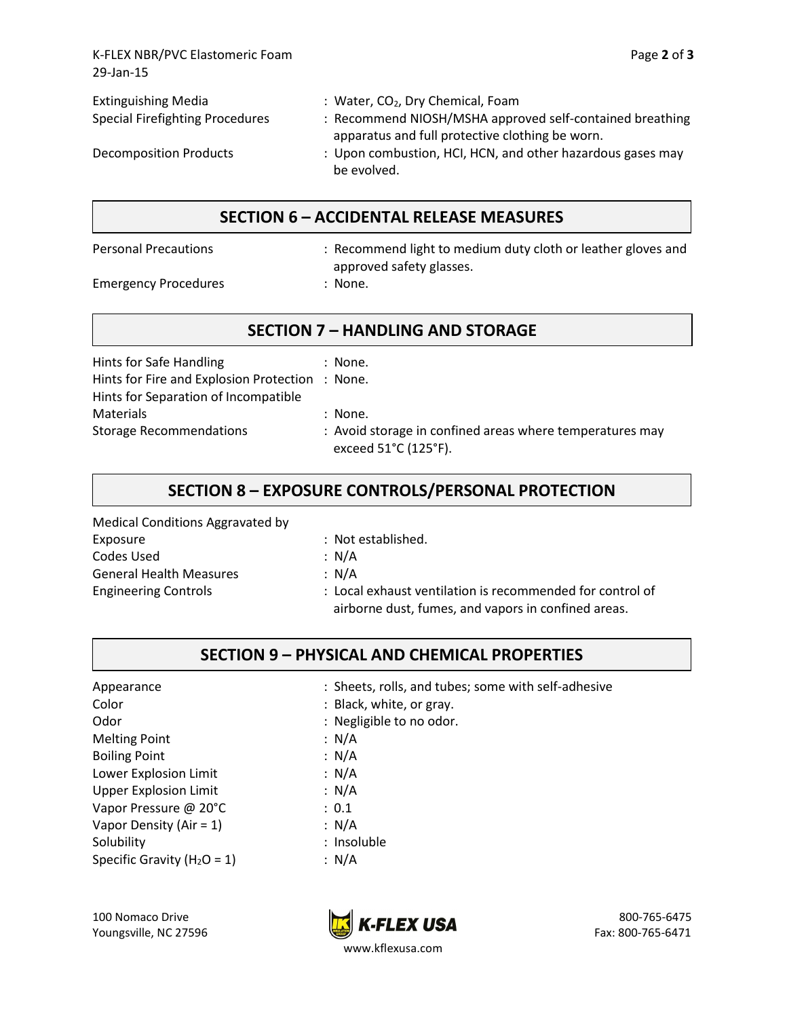K-FLEX NBR/PVC Elastomeric Foam Page **2** of **3** 29-Jan-15

| <b>Extinguishing Media</b>             | : Water, CO <sub>2</sub> , Dry Chemical, Foam                                                                                |
|----------------------------------------|------------------------------------------------------------------------------------------------------------------------------|
| <b>Special Firefighting Procedures</b> | : Recommend NIOSH/MSHA approved self-contained breathing                                                                     |
| Decomposition Products                 | apparatus and full protective clothing be worn.<br>: Upon combustion, HCI, HCN, and other hazardous gases may<br>be evolved. |

### **SECTION 6 – ACCIDENTAL RELEASE MEASURES**

Personal Precautions : Recommend light to medium duty cloth or leather gloves and approved safety glasses.

Emergency Procedures : None.

## **SECTION 7 – HANDLING AND STORAGE**

| Hints for Safe Handling<br>Hints for Fire and Explosion Protection : None. | : None.                                                                          |
|----------------------------------------------------------------------------|----------------------------------------------------------------------------------|
| Hints for Separation of Incompatible                                       |                                                                                  |
| <b>Materials</b>                                                           | : None.                                                                          |
| <b>Storage Recommendations</b>                                             | : Avoid storage in confined areas where temperatures may<br>exceed 51°C (125°F). |

# **SECTION 8 – EXPOSURE CONTROLS/PERSONAL PROTECTION**

Medical Conditions Aggravated by Exposure : Not established. Codes Used : N/A General Health Measures : N/A

Engineering Controls : Local exhaust ventilation is recommended for control of airborne dust, fumes, and vapors in confined areas.

# **SECTION 9 – PHYSICAL AND CHEMICAL PROPERTIES**

Color : Black, white, or gray. Odor : Negligible to no odor. Melting Point : N/A Boiling Point : N/A Lower Explosion Limit : N/A Upper Explosion Limit : N/A Vapor Pressure @ 20°C : 0.1 Vapor Density (Air = 1) : N/A Solubility : Insoluble : Specific Gravity  $(H_2O = 1)$  : N/A

Appearance **in the sum of the set of the Sheets**, rolls, and tubes; some with self-adhesive

- 
- 
- 
- 
- 
- 
- 
- 
- 
-